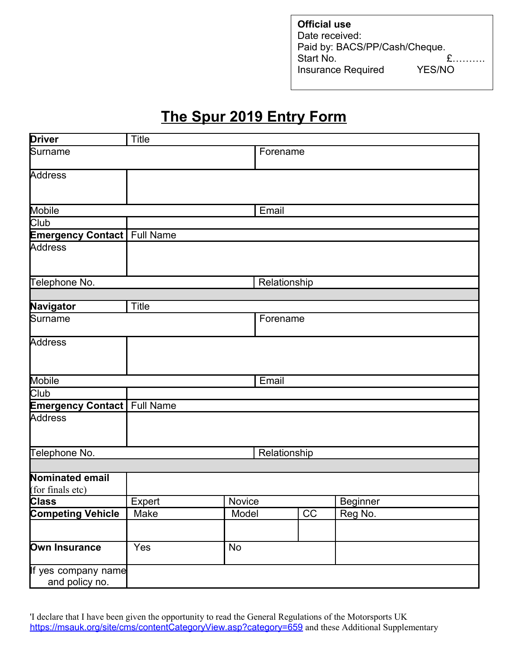| <b>Official use</b>           |               |
|-------------------------------|---------------|
| Date received:                |               |
| Paid by: BACS/PP/Cash/Cheque. |               |
| Start No.                     |               |
| <b>Insurance Required</b>     | <b>YES/NO</b> |

## **The Spur 2019 Entry Form**

| <b>Driver</b>                         | <b>Title</b> |          |          |                 |                 |  |
|---------------------------------------|--------------|----------|----------|-----------------|-----------------|--|
| Surname                               |              |          | Forename |                 |                 |  |
| Address                               |              |          |          |                 |                 |  |
| Mobile                                |              |          | Email    |                 |                 |  |
| Club                                  |              |          |          |                 |                 |  |
| <b>Emergency Contact</b> Full Name    |              |          |          |                 |                 |  |
| Address                               |              |          |          |                 |                 |  |
| Telephone No.                         | Relationship |          |          |                 |                 |  |
|                                       |              |          |          |                 |                 |  |
| Navigator                             | Title        |          |          |                 |                 |  |
| Surname                               |              | Forename |          |                 |                 |  |
| Address                               |              |          |          |                 |                 |  |
| Mobile                                |              | Email    |          |                 |                 |  |
| Club                                  |              |          |          |                 |                 |  |
| <b>Emergency Contact   Full Name</b>  |              |          |          |                 |                 |  |
| Address                               |              |          |          |                 |                 |  |
| Telephone No.                         | Relationship |          |          |                 |                 |  |
|                                       |              |          |          |                 |                 |  |
| Nominated email<br>(for finals etc)   |              |          |          |                 |                 |  |
| <b>Class</b>                          | Expert       |          | Novice   |                 | <b>Beginner</b> |  |
| <b>Competing Vehicle</b>              | Make         | Model    |          | $\overline{CC}$ | Reg No.         |  |
| Own Insurance                         | Yes          | No       |          |                 |                 |  |
| If yes company name<br>and policy no. |              |          |          |                 |                 |  |

'I declare that I have been given the opportunity to read the General Regulations of the Motorsports UK <https://msauk.org/site/cms/contentCategoryView.asp?category=659> and these Additional Supplementary